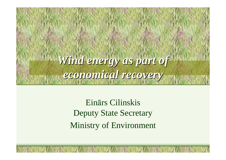

Einārs Cilinskis Deputy State Secretary Ministry of Environment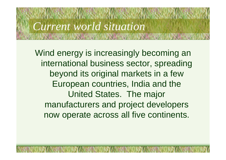*Current world situation*

and the basic of means the top

Wind energy is increasingly becoming an international business sector, spreading beyond its original markets in a few European countries, India and the United States. The major manufacturers and project developers now operate across all five continents.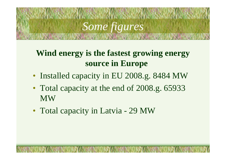## *Some figures*

*PASSED CAR SERVICE CAR* 

## **Wind energy is the fastest growing energy source in Europe**

- Installed capacity in EU 2008.g. 8484 MW
- Total capacity at the end of 2008.g. 65933 MW
- Total capacity in Latvia 29 MW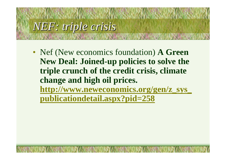*NEF: triple crisis*

• Nef (New economics foundation) **A Green New Deal: Joined-up policies to solve the triple crunch of the credit crisis, climate change and high oil prices. [http://www.neweconomics.org/gen/z\\_sys\\_](http://www.neweconomics.org/gen/z_sys_) publicationdetail.aspx?pid=258**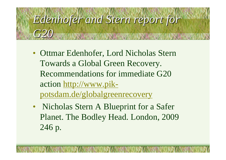*Edenhofer and Stern report for G20*

- Ottmar Edenhofer, Lord Nicholas Stern Towards a Global Green Recovery. Recommendations for immediate G20 action [http://www.pik](http://www.pik-)potsdam.de/globalgreenrecovery
- Nicholas Stern A Blueprint for a Safer Planet. The Bodley Head. London, 2009 246 p.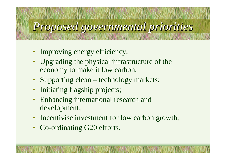## *Proposed governmental priorities*

- Improving energy efficiency;
- Upgrading the physical infrastructure of the economy to make it low carbon;

**MARKA MARKA MARK** 

- Supporting clean technology markets;
- Initiating flagship projects;
- Enhancing international research and development;
- Incentivise investment for low carbon growth;
- Co-ordinating G20 efforts.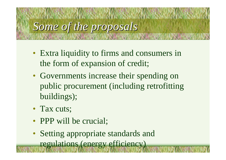*Some of the proposals*

- Extra liquidity to firms and consumers in the form of expansion of credit;
- Governments increase their spending on public procurement (including retrofitting buildings);
- Tax cuts;
- PPP will be crucial;
- •Setting appropriate standards and regulations (energy efficiency)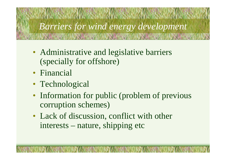*Barriers for wind energy development*

where you will have a few the first wind the hand of

- Administrative and legislative barriers (specially for offshore)
- Financial
- Technological
- Information for public (problem of previous corruption schemes)
- Lack of discussion, conflict with other interests – nature, shipping etc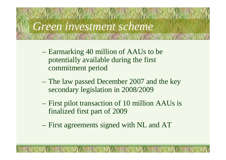*Green investment scheme*

The have come have a me have come

- –Earmarking 40 million of AAUs to be potentially available during the first commitment period
- –The law passed December 2007 and the key secondary legislation in 2008/2009
- –First pilot transaction of 10 million AAUs is finalized first part of 2009
- –First agreements signed with NL and AT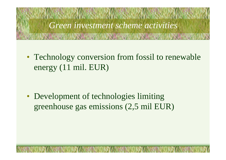

• Technology conversion from fossil to renewable energy (11 mil. EUR)

• Development of technologies limiting greenhouse gas emissions (2,5 mil EUR)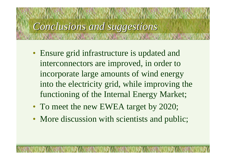*Conclusions and suggestions*

**CARLO SALLO ARTISTA COMPANY** 

- Ensure grid infrastructure is updated and interconnectors are improved, in order to incorporate large amounts of wind energy into the electricity grid, while improving the functioning of the Internal Energy Market;
- To meet the new EWEA target by 2020;
- More discussion with scientists and public;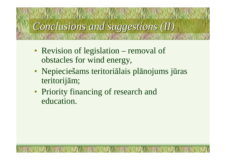*Conclusions and suggestions (II)*

**LANGE STATE AND STATE** 

- Revision of legislation removal of obstacles for wind energy,
- Nepieciešams teritoriālais plānojums jūras teritorijām;
- Priority financing of research and education.